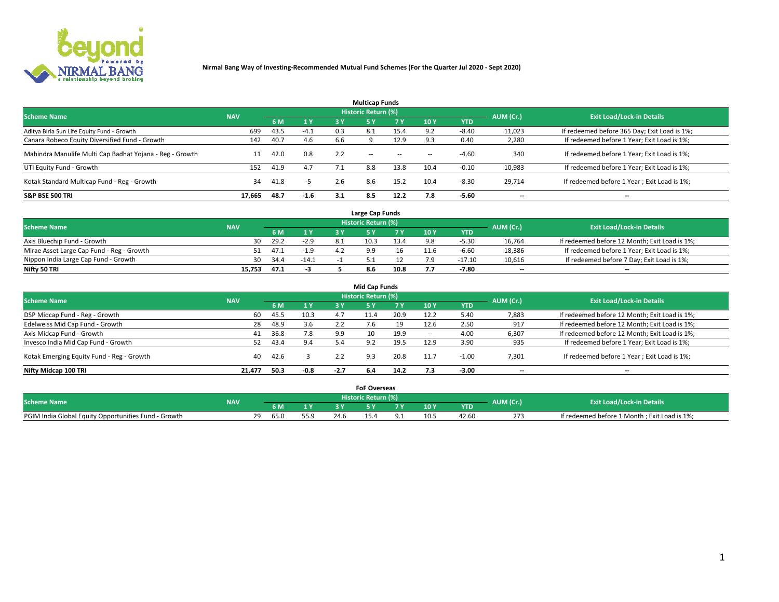

|                                                          |            |      |        |     | <b>Multicap Funds</b> |           |        |            |           |                                              |
|----------------------------------------------------------|------------|------|--------|-----|-----------------------|-----------|--------|------------|-----------|----------------------------------------------|
| <b>Scheme Name</b>                                       | <b>NAV</b> |      |        |     | Historic Return (%)   |           |        |            | AUM (Cr.) | <b>Exit Load/Lock-in Details</b>             |
|                                                          |            | 6 M  | 1 Y    | 3 Y | <b>5Y</b>             | <b>7Y</b> | 10Y    | <b>YTD</b> |           |                                              |
| Aditya Birla Sun Life Equity Fund - Growth               | 699        | 43.5 | $-4.1$ | 0.3 | 8.1                   | 15.4      | 9.2    | $-8.40$    | 11,023    | If redeemed before 365 Day; Exit Load is 1%; |
| Canara Robeco Equity Diversified Fund - Growth           | 142        | 40.7 | 4.6    | 6.6 |                       | 12.9      |        | 0.40       | 2,280     | If redeemed before 1 Year; Exit Load is 1%;  |
| Mahindra Manulife Multi Cap Badhat Yojana - Reg - Growth | 11         | 42.0 | 0.8    | 2.2 | $\sim$ $-$            | $\sim$    | $\sim$ | $-4.60$    | 340       | If redeemed before 1 Year; Exit Load is 1%;  |
| UTI Equity Fund - Growth                                 | 152        | 41.9 | 4.7    |     | 8.8                   | 13.8      | 10.4   | $-0.10$    | 10,983    | If redeemed before 1 Year; Exit Load is 1%;  |
| Kotak Standard Multicap Fund - Reg - Growth              | 34         | 41.8 | -5     | 2.6 | 8.6                   | 15.2      | 10.4   | $-8.30$    | 29.714    | If redeemed before 1 Year; Exit Load is 1%;  |
| <b>S&amp;P BSE 500 TRI</b>                               | 17.665     | 48.7 | $-1.6$ | 3.1 | 8.5                   | 12.2      |        | $-5.60$    | --        | $- -$                                        |

|                                           |            |      |         |     | Large Cap Funds     |      |      |            |                          |                                               |
|-------------------------------------------|------------|------|---------|-----|---------------------|------|------|------------|--------------------------|-----------------------------------------------|
| <b>Scheme Name</b>                        | <b>NAV</b> |      |         |     | Historic Return (%) |      |      |            | AUM (Cr.)                | <b>Exit Load/Lock-in Details</b>              |
|                                           |            | 6 M  | 1Y      |     |                     |      | 10 Y | <b>YTD</b> |                          |                                               |
| Axis Bluechip Fund - Growth               | 30         | 29.2 | $-2.9$  | 8.1 | 10.3                | 13.4 |      | $-5.30$    | 16,764                   | If redeemed before 12 Month; Exit Load is 1%; |
| Mirae Asset Large Cap Fund - Reg - Growth |            | 47.1 | $-1.9$  |     |                     |      |      | $-6.60$    | 18,386                   | If redeemed before 1 Year; Exit Load is 1%;   |
| Nippon India Large Cap Fund - Growth      | 30         | 34.4 | $-14.1$ |     |                     |      |      | $-17.10$   | 10,616                   | If redeemed before 7 Day; Exit Load is 1%;    |
| Nifty 50 TRI                              | 15.753     | 47.1 |         |     | 8.6                 | 10.8 | ,,   | -7.80      | $\overline{\phantom{a}}$ | $- -$                                         |

| <b>Mid Cap Funds</b>                      |            |      |        |        |                            |      |            |            |                          |                                               |  |  |  |
|-------------------------------------------|------------|------|--------|--------|----------------------------|------|------------|------------|--------------------------|-----------------------------------------------|--|--|--|
| <b>Scheme Name</b>                        | <b>NAV</b> |      |        |        | <b>Historic Return (%)</b> |      |            |            | AUM (Cr.)                | <b>Exit Load/Lock-in Details</b>              |  |  |  |
|                                           |            | 6 M  | 1 Y    | 3 Y    |                            | 7 V. | <b>10Y</b> | <b>YTD</b> |                          |                                               |  |  |  |
| DSP Midcap Fund - Reg - Growth            | 60         | 45.5 | 10.3   |        | 11.4                       | 20.9 | 12.2       | 5.40       | 7,883                    | If redeemed before 12 Month; Exit Load is 1%; |  |  |  |
| Edelweiss Mid Cap Fund - Growth           | 28         | 48.9 | 3.6    | 2.2    | 7.6                        | 19   | 12.6       | 2.50       | 917                      | If redeemed before 12 Month; Exit Load is 1%; |  |  |  |
| Axis Midcap Fund - Growth                 | 41         | 36.8 | 7.8    | 9.9    | 10                         | 19.9 | -          | 4.00       | 6,307                    | If redeemed before 12 Month; Exit Load is 1%; |  |  |  |
| Invesco India Mid Cap Fund - Growth       | 52         | 43.4 | 9.4    | 5.4    | 9.2                        | 19.5 | 12.9       | 3.90       | 935                      | If redeemed before 1 Year; Exit Load is 1%;   |  |  |  |
| Kotak Emerging Equity Fund - Reg - Growth | 40         | 42.6 |        | 2.2    | 9.3                        | 20.8 | 11.7       | $-1.00$    | 7,301                    | If redeemed before 1 Year; Exit Load is 1%;   |  |  |  |
| Nifty Midcap 100 TRI                      | 21.477     | 50.3 | $-0.8$ | $-2.7$ | 6.4                        | 14.2 |            | $-3.00$    | $\overline{\phantom{a}}$ | $\overline{\phantom{a}}$                      |  |  |  |

|                                                      |            |                         |      |      | <b>FoF Overseas</b>        |     |            |           |                                              |
|------------------------------------------------------|------------|-------------------------|------|------|----------------------------|-----|------------|-----------|----------------------------------------------|
| <b>Scheme Name</b>                                   | <b>NAV</b> |                         |      |      | <b>Historic Return (%)</b> |     |            | AUM (Cr.) | <b>Exit Load/Lock-in Details</b>             |
|                                                      |            | 6 M                     |      |      |                            | 10Y | <b>YTD</b> |           |                                              |
| PGIM India Global Equity Opportunities Fund - Growth |            | າດ<br>65.0<br><u>_ </u> | 55.9 | 24.6 |                            |     | 42.60      | 273       | If redeemed before 1 Month; Exit Load is 1%; |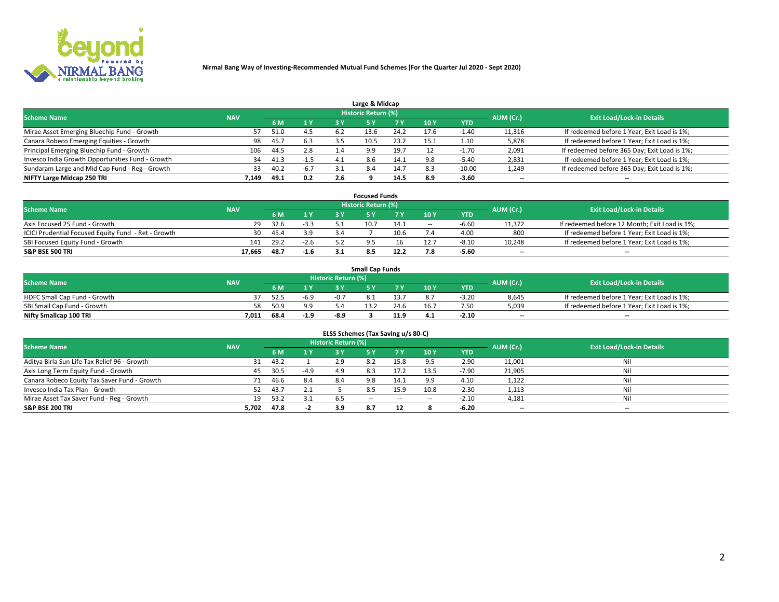

| Large & Midcap                                   |            |      |        |     |                     |      |      |            |                          |                                              |  |  |  |
|--------------------------------------------------|------------|------|--------|-----|---------------------|------|------|------------|--------------------------|----------------------------------------------|--|--|--|
| <b>Scheme Name</b>                               | <b>NAV</b> |      |        |     | Historic Return (%) |      |      |            | AUM (Cr.)                | <b>Exit Load/Lock-in Details</b>             |  |  |  |
|                                                  |            | 6 M  | 1 Y    | 3 Y |                     | 7 V  | 10Y  | <b>YTD</b> |                          |                                              |  |  |  |
| Mirae Asset Emerging Bluechip Fund - Growth      | 57         | 51.0 | 4.5    | 6.2 | 13.6                | 24.2 | 17.6 | 0.40       | 11,316                   | If redeemed before 1 Year; Exit Load is 1%;  |  |  |  |
| Canara Robeco Emerging Equities - Growth         | 98         | 45.7 | 6.3    |     |                     | 23.2 | 15.1 | 1.10       | 5,878                    | If redeemed before 1 Year; Exit Load is 1%;  |  |  |  |
| Principal Emerging Bluechip Fund - Growth        | 106        | 44.5 | 2.8    | 1.4 | 9.9                 | 19.7 |      | $-1.70$    | 2,091                    | If redeemed before 365 Day; Exit Load is 1%; |  |  |  |
| Invesco India Growth Opportunities Fund - Growth | 34         | 41.3 | $-1.5$ | 4.1 | 8.6                 | 14.1 | 9.8  | -5.40      | 2,831                    | If redeemed before 1 Year; Exit Load is 1%;  |  |  |  |
| Sundaram Large and Mid Cap Fund - Reg - Growth   | 33         | 40.2 | $-6.7$ |     | 8.4                 | 14.7 | 8.3  | $-10.00$   | 1,249                    | If redeemed before 365 Day; Exit Load is 1%; |  |  |  |
| NIFTY Large Midcap 250 TRI                       | 7.149      | 49.1 | 0.2    |     |                     | 14.5 | 8.9  | -3.60      | $\overline{\phantom{a}}$ | $- -$                                        |  |  |  |

|                                                     |            |      |                | <b>Focused Funds</b> |      |        |            |                          |                                               |
|-----------------------------------------------------|------------|------|----------------|----------------------|------|--------|------------|--------------------------|-----------------------------------------------|
| <b>Scheme Name</b>                                  | <b>NAV</b> |      |                | Historic Return (%)  |      |        |            | AUM (Cr.)                | <b>Exit Load/Lock-in Details</b>              |
|                                                     |            | 6 M  | 1 <sub>V</sub> |                      |      | 10 Y   | <b>YTD</b> |                          |                                               |
| Axis Focused 25 Fund - Growth                       | 29         | 32.6 | $-3.3$         | 10.7                 | 14.1 | $\sim$ | $-6.6f$    | 11,372                   | If redeemed before 12 Month; Exit Load is 1%; |
| ICICI Prudential Focused Equity Fund - Ret - Growth | 30         | 45.4 | 3.9            |                      | 10.6 |        | 4.00       | 800                      | If redeemed before 1 Year; Exit Load is 1%;   |
| SBI Focused Equity Fund - Growth                    | 141        | 29.2 | -2.b           |                      |      |        | $-8.10$    | 10,248                   | If redeemed before 1 Year; Exit Load is 1%;   |
| <b>S&amp;P BSE 500 TRI</b>                          | 17,665     | 48.7 | $-1.6$         |                      | 12.2 |        | -5.60      | $\overline{\phantom{a}}$ | $- -$                                         |

| <b>Small Cap Funds</b>       |            |      |        |                     |      |      |                 |            |           |                                             |  |  |
|------------------------------|------------|------|--------|---------------------|------|------|-----------------|------------|-----------|---------------------------------------------|--|--|
| <b>Scheme Name</b>           | <b>NAV</b> |      |        | Historic Return (%) |      |      |                 |            | AUM (Cr.) | <b>Exit Load/Lock-in Details</b>            |  |  |
|                              |            | 6 M  |        |                     |      |      | 10 <sub>Y</sub> | <b>YTD</b> |           |                                             |  |  |
| HDFC Small Cap Fund - Growth |            | 52.5 | -6.9   | $-0.7$              |      |      |                 | $-3.20$    | 8,645     | If redeemed before 1 Year; Exit Load is 1%; |  |  |
| SBI Small Cap Fund - Growth  |            | 50.9 | a a    |                     | 13.2 | 24.6 | 16.7            | 7.50       | 5,039     | If redeemed before 1 Year; Exit Load is 1%; |  |  |
| Nifty Smallcap 100 TRI       | 7,011      | 68.4 | $-1.9$ | $-8.9$              |      | 11.9 |                 | $-2.10$    | $- -$     | $- -$                                       |  |  |

| ELSS Schemes (Tax Saving u/s 80-C)           |            |      |        |                            |            |        |                          |            |                          |                                  |  |  |  |
|----------------------------------------------|------------|------|--------|----------------------------|------------|--------|--------------------------|------------|--------------------------|----------------------------------|--|--|--|
| <b>Scheme Name</b>                           | <b>NAV</b> |      |        | <b>Historic Return (%)</b> |            |        |                          |            | AUM (Cr.)                | <b>Exit Load/Lock-in Details</b> |  |  |  |
|                                              |            | 6 M  | 1Y     | 73 Y                       | <b>5Y</b>  | 7 Y    | 10 Y                     | <b>YTD</b> |                          |                                  |  |  |  |
| Aditya Birla Sun Life Tax Relief 96 - Growth | 31         | 43.2 |        | 2.9                        |            | 15.8   |                          | $-2.90$    | 11,001                   | Nil                              |  |  |  |
| Axis Long Term Equity Fund - Growth          | 45         | 30.5 | $-4.9$ | 4.9                        | 8.3        | 17.2   | 13.5                     | $-7.90$    | 21,905                   | Nil                              |  |  |  |
| Canara Robeco Equity Tax Saver Fund - Growth |            | 46.6 | 8.4    | 8.4                        | 9.8        | 14.1   | 9.9                      | 4.10       | 1,122                    | Nil                              |  |  |  |
| Invesco India Tax Plan - Growth              | 52         | 43.7 | 2.1    |                            | 8.5        | 15.9   | 10.8                     | $-2.30$    | 1,113                    | Nil                              |  |  |  |
| Mirae Asset Tax Saver Fund - Reg - Growth    | 19         | 53.2 | 3.1    | b.5                        | $\sim$ $-$ | $\sim$ | $\overline{\phantom{a}}$ | $-2.10$    | 4,181                    | Nil                              |  |  |  |
| S&P BSE 200 TRI                              | 5,702      | 47.8 |        | 3.9                        |            |        |                          | $-6.20$    | $\overline{\phantom{a}}$ | $- -$                            |  |  |  |

# 2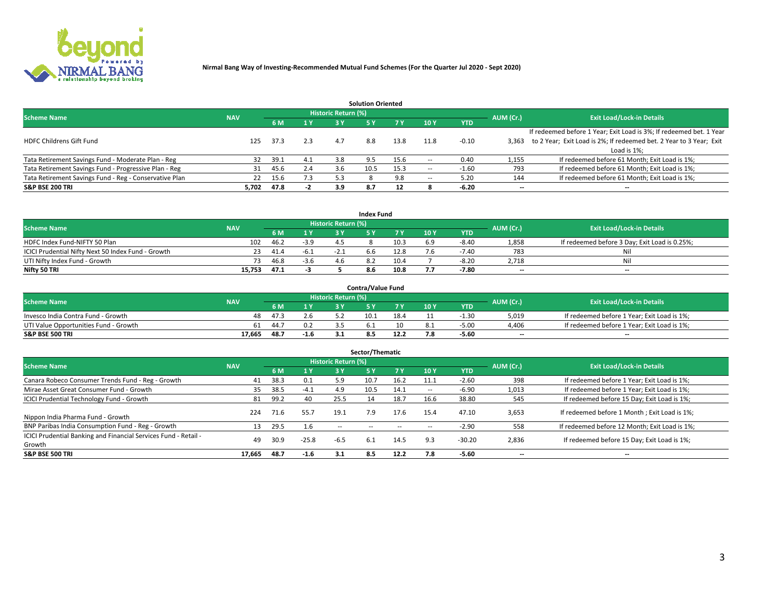

|                                                        |            |            |     |                            | <b>Solution Oriented</b> |      |                          |            |                          |                                                                     |
|--------------------------------------------------------|------------|------------|-----|----------------------------|--------------------------|------|--------------------------|------------|--------------------------|---------------------------------------------------------------------|
| <b>Scheme Name</b>                                     | <b>NAV</b> |            |     | <b>Historic Return (%)</b> |                          |      |                          |            | AUM (Cr.)                | <b>Exit Load/Lock-in Details</b>                                    |
|                                                        |            | <b>6 M</b> | 1 Y | 3 Y                        |                          |      | 10Y                      | <b>YTD</b> |                          |                                                                     |
|                                                        |            |            |     |                            |                          |      |                          |            |                          | If redeemed before 1 Year; Exit Load is 3%; If redeemed bet. 1 Year |
| <b>HDFC Childrens Gift Fund</b>                        | 125        | 37.3       | 2.3 | 4.7                        | 8.8                      | 13.8 | 11.8                     | $-0.10$    | 3.363                    | to 2 Year; Exit Load is 2%; If redeemed bet. 2 Year to 3 Year; Exit |
|                                                        |            |            |     |                            |                          |      |                          |            |                          | Load is 1%;                                                         |
| Tata Retirement Savings Fund - Moderate Plan - Reg     | 32         | 39.1       | 4.1 | 3.8                        | 9.5                      | 15.6 | --                       | 0.40       | 1,155                    | If redeemed before 61 Month; Exit Load is 1%;                       |
| Tata Retirement Savings Fund - Progressive Plan - Reg  | 31         | 45.6       | 2.4 | 3.b                        | 10.5                     | 15.3 | $\overline{\phantom{a}}$ | $-1.60$    | 793                      | If redeemed before 61 Month; Exit Load is 1%;                       |
| Tata Retirement Savings Fund - Reg - Conservative Plan | 22         | 15.6       | 7.3 | 5.3                        |                          | 9.8  | --                       | 5.20       | 144                      | If redeemed before 61 Month; Exit Load is 1%;                       |
| S&P BSE 200 TRI                                        | 5,702      | 47.8       | -2  | 3.9                        | 8.7                      | 12   |                          | $-6.20$    | $\overline{\phantom{a}}$ | $- -$                                                               |

|                                                    |            |      |        |                            | <b>Index Fund</b> |      |      |            |                          |                                               |
|----------------------------------------------------|------------|------|--------|----------------------------|-------------------|------|------|------------|--------------------------|-----------------------------------------------|
| <b>Scheme Name</b>                                 | <b>NAV</b> |      |        | <b>Historic Return (%)</b> |                   |      |      |            | AUM (Cr.)                | <b>Exit Load/Lock-in Details</b>              |
|                                                    |            |      | 4V     | 2 V                        |                   | 7 V  | 10 Y | <b>YTD</b> |                          |                                               |
| HDFC Index Fund-NIFTY 50 Plan                      | 102        | 46.2 | $-3.9$ |                            |                   | 10.3 | 6.9  | $-8.40$    | 1,858                    | If redeemed before 3 Day; Exit Load is 0.25%; |
| ICICI Prudential Nifty Next 50 Index Fund - Growth |            | 41.4 | -6.1   | $-2.1$                     | b.b               | 12.8 |      | $-7.40$    | 783                      | Nil                                           |
| UTI Nifty Index Fund - Growth                      |            | 46.8 | $-3.6$ |                            |                   | 10.4 |      | $-8.20$    | 2,718                    | Nil                                           |
| Nifty 50 TRI                                       | 15.753     | 47.1 |        |                            | 8.6               | 10.8 |      | $-7.80$    | $\overline{\phantom{a}}$ | $- -$                                         |

|                                       |            |      |                  |                            | <b>Contra/Value Fund</b> |      |     |            |                          |                                             |
|---------------------------------------|------------|------|------------------|----------------------------|--------------------------|------|-----|------------|--------------------------|---------------------------------------------|
| <b>Scheme Name</b>                    | <b>NAV</b> |      |                  | <b>Historic Return (%)</b> |                          |      |     |            | AUM (Cr.)                | <b>Exit Load/Lock-in Details</b>            |
|                                       |            |      | $\sim$ $\sqrt{}$ |                            |                          | 7 V  | 10Y | <b>YTD</b> |                          |                                             |
| Invesco India Contra Fund - Growth    | 48         | 47.3 | 2.6              |                            | 10.                      | 18.4 |     | -1.30      | 5,019                    | If redeemed before 1 Year; Exit Load is 1%; |
| UTI Value Opportunities Fund - Growth | 61         | 44.7 |                  |                            |                          |      |     | $-5.00$    | 4,406                    | If redeemed before 1 Year; Exit Load is 1%; |
| <b>S&amp;P BSE 500 TRI</b>            | 17.665     | 48.7 | $-1.6$           |                            |                          |      |     | $-5.60$    | $\overline{\phantom{a}}$ | $- -$                                       |

|                                                                           |            |      |                  |                     | Sector/Thematic |        |                          |            |           |                                               |
|---------------------------------------------------------------------------|------------|------|------------------|---------------------|-----------------|--------|--------------------------|------------|-----------|-----------------------------------------------|
| <b>Scheme Name</b>                                                        | <b>NAV</b> |      |                  | Historic Return (%) |                 |        |                          |            | AUM (Cr.) | <b>Exit Load/Lock-in Details</b>              |
|                                                                           |            | 6 M  | $\overline{1}$ Y | 3 Y                 | <b>5Y</b>       | 7 Y    | 10Y                      | <b>YTD</b> |           |                                               |
| Canara Robeco Consumer Trends Fund - Reg - Growth                         | 41         | 38.3 | 0.1              | 5.9                 | 10.7            | 16.2   | 11.1                     | $-2.60$    | 398       | If redeemed before 1 Year; Exit Load is 1%;   |
| Mirae Asset Great Consumer Fund - Growth                                  | 35         | 38.5 | $-4.1$           | 4.9                 | 10.5            | 14.1   | $\overline{\phantom{a}}$ | -6.90      | 1,013     | If redeemed before 1 Year; Exit Load is 1%;   |
| <b>ICICI Prudential Technology Fund - Growth</b>                          | 81         | 99.2 | 40               | 25.5                | 14              | 18.7   | 16.6                     | 38.80      | 545       | If redeemed before 15 Day; Exit Load is 1%;   |
| Nippon India Pharma Fund - Growth                                         | 224        | 71.6 | 55.7             | 19.1                | 7.9             | 17.6   | 15.4                     | 47.10      | 3,653     | If redeemed before 1 Month; Exit Load is 1%;  |
| BNP Paribas India Consumption Fund - Reg - Growth                         | 13         | 29.5 | 1.6              | $\sim$ $-$          | $\sim$ $-$      | $\sim$ | $\sim$                   | $-2.90$    | 558       | If redeemed before 12 Month; Exit Load is 1%; |
| ICICI Prudential Banking and Financial Services Fund - Retail -<br>Growth | 49         | 30.9 | $-25.8$          | $-6.5$              | 6.1             | 14.5   | 9.3                      | $-30.20$   | 2,836     | If redeemed before 15 Day; Exit Load is 1%;   |
| <b>S&amp;P BSE 500 TRI</b>                                                | 17.665     | 48.7 | $-1.6$           | 3.1                 | 8.5             | 12.2   | 7.8                      | $-5.60$    | --        | $- -$                                         |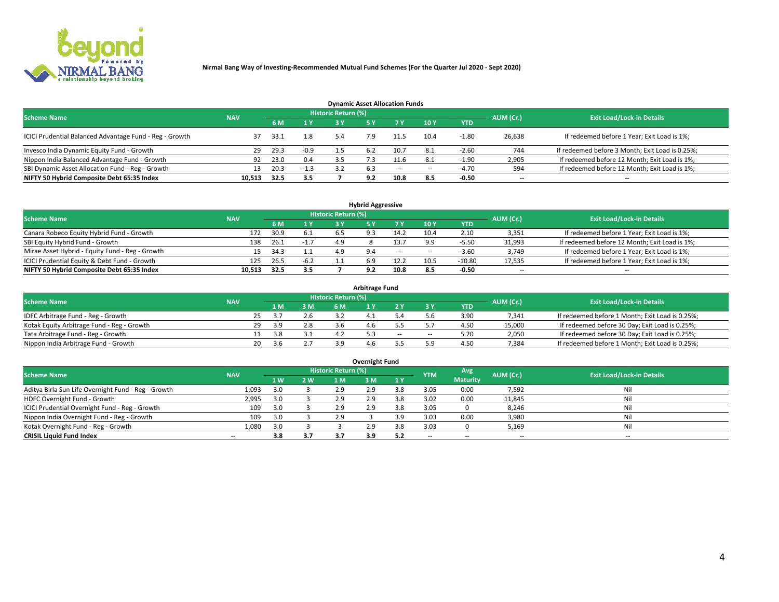

| <b>Dynamic Asset Allocation Funds</b>                   |                                                                |       |        |     |     |        |      |            |                          |                                                 |  |  |  |  |  |
|---------------------------------------------------------|----------------------------------------------------------------|-------|--------|-----|-----|--------|------|------------|--------------------------|-------------------------------------------------|--|--|--|--|--|
|                                                         | <b>Historic Return (%)</b><br><b>Scheme Name</b><br><b>NAV</b> |       |        |     |     |        |      |            |                          |                                                 |  |  |  |  |  |
|                                                         |                                                                | 6 M   | 1 Y    | 3 Y |     |        | 10Y  | <b>YTD</b> | AUM (Cr.)                | <b>Exit Load/Lock-in Details</b>                |  |  |  |  |  |
| ICICI Prudential Balanced Advantage Fund - Reg - Growth |                                                                | -33.1 | 1.8    | 5.4 |     | 11.5   | 10.4 | $-1.80$    | 26,638                   | If redeemed before 1 Year; Exit Load is 1%;     |  |  |  |  |  |
| Invesco India Dynamic Equity Fund - Growth              | 29                                                             | 29.3  | $-0.9$ |     | 6.2 | 10.7   | 8.1  | $-2.60$    | 744                      | If redeemed before 3 Month; Exit Load is 0.25%; |  |  |  |  |  |
| Nippon India Balanced Advantage Fund - Growth           | 92                                                             | 23.0  | 0.4    |     |     |        |      | $-1.90$    | 2,905                    | If redeemed before 12 Month; Exit Load is 1%;   |  |  |  |  |  |
| SBI Dynamic Asset Allocation Fund - Reg - Growth        |                                                                | 20.3  | $-1.3$ | 3.2 | 6.3 | $\sim$ | --   | -4.70      | 594                      | If redeemed before 12 Month; Exit Load is 1%;   |  |  |  |  |  |
| NIFTY 50 Hybrid Composite Debt 65:35 Index              | 10,513                                                         | 32.5  | 3.5    |     | 9.2 | 10.8   | 8.5  | $-0.50$    | $\overline{\phantom{a}}$ | $- -$                                           |  |  |  |  |  |

| <b>Hybrid Aggressive</b>                        |            |                                  |            |     |  |            |            |            |        |                                               |  |  |  |  |
|-------------------------------------------------|------------|----------------------------------|------------|-----|--|------------|------------|------------|--------|-----------------------------------------------|--|--|--|--|
| <b>Scheme Name</b>                              | AUM (Cr.)  | <b>Exit Load/Lock-in Details</b> |            |     |  |            |            |            |        |                                               |  |  |  |  |
|                                                 | <b>NAV</b> |                                  | <b>ALV</b> | 2 V |  |            | <b>10Y</b> | <b>YTD</b> |        |                                               |  |  |  |  |
| Canara Robeco Equity Hybrid Fund - Growth       | 172        | 30.9                             | 6.1        |     |  | 14.2       | 10.4       | 2.10       | 3,351  | If redeemed before 1 Year; Exit Load is 1%;   |  |  |  |  |
| SBI Equity Hybrid Fund - Growth                 | 138        | 26.1                             | $-1.7$     | 4.9 |  | 13.7       |            | $-5.5C$    | 31,993 | If redeemed before 12 Month; Exit Load is 1%; |  |  |  |  |
| Mirae Asset Hybrid - Equity Fund - Reg - Growth | 15         | 34.3                             |            | 4.9 |  | $\sim$ $-$ | $\sim$     | $-3.60$    | 3,749  | If redeemed before 1 Year; Exit Load is 1%;   |  |  |  |  |
| ICICI Prudential Equity & Debt Fund - Growth    | 125        | 26.5                             | $-6.2$     |     |  | 12.2       | 10.5       | $-10.80$   | 17,535 | If redeemed before 1 Year; Exit Load is 1%;   |  |  |  |  |
| NIFTY 50 Hybrid Composite Debt 65:35 Index      | 10.513     | 32.5                             | 3.5        |     |  | 10.8       | 8.5        | $-0.50$    | --     | $- -$                                         |  |  |  |  |

| <b>Arbitrage Fund</b>                      |            |    |     |     |                     |  |       |        |            |           |                                                 |  |  |  |
|--------------------------------------------|------------|----|-----|-----|---------------------|--|-------|--------|------------|-----------|-------------------------------------------------|--|--|--|
| <b>Scheme Name</b>                         | <b>NAV</b> |    |     |     | Historic Return (%) |  |       |        |            | AUM (Cr.) | <b>Exit Load/Lock-in Details</b>                |  |  |  |
|                                            |            |    | 1 M | 3 M |                     |  |       |        | <b>YTD</b> |           |                                                 |  |  |  |
| IDFC Arbitrage Fund - Reg - Growth         |            |    |     | 2.6 |                     |  |       |        | 3.9C       | 7,341     | If redeemed before 1 Month; Exit Load is 0.25%; |  |  |  |
| Kotak Equity Arbitrage Fund - Reg - Growth |            | 29 | 3 Q | 2.8 |                     |  |       |        | 4.5C       | 15,000    | If redeemed before 30 Day; Exit Load is 0.25%;  |  |  |  |
| Tata Arbitrage Fund - Reg - Growth         |            |    | 3.8 |     |                     |  | $- -$ | $\sim$ | 5.20       | 2,050     | If redeemed before 30 Day; Exit Load is 0.25%;  |  |  |  |
| Nippon India Arbitrage Fund - Growth       |            | 20 | ₹.h |     |                     |  |       |        | 4.5C       | 7,384     | If redeemed before 1 Month; Exit Load is 0.25%; |  |  |  |

| Overnight Fund                                      |            |     |            |                     |     |     |            |                 |                          |                                  |  |  |  |  |
|-----------------------------------------------------|------------|-----|------------|---------------------|-----|-----|------------|-----------------|--------------------------|----------------------------------|--|--|--|--|
| <b>Scheme Name</b>                                  | <b>NAV</b> |     |            | Historic Return (%) |     |     | <b>YTM</b> | Avg.            | AUM (Cr.)                | <b>Exit Load/Lock-in Details</b> |  |  |  |  |
|                                                     |            | 1W  | <b>2 W</b> | 1 M                 | : M | 1 Y |            | <b>Maturity</b> |                          |                                  |  |  |  |  |
| Aditya Birla Sun Life Overnight Fund - Reg - Growth | 1,093      | 3.0 |            | 2.9                 | 2.9 |     | 3.05       | 0.00            | 7,592                    | Nil                              |  |  |  |  |
| HDFC Overnight Fund - Growth                        | 2,995      | 3.0 |            | 2.9                 |     |     | 3.02       | 0.00            | 11,845                   | Nil                              |  |  |  |  |
| ICICI Prudential Overnight Fund - Reg - Growth      | 109        | 3.0 |            | 2.9                 | 2.9 | 3.8 | 3.05       |                 | 8,246                    | Nil                              |  |  |  |  |
| Nippon India Overnight Fund - Reg - Growth          | 109        | 3.0 |            | 2.9                 |     |     | 3.03       | 0.00            | 3,980                    | Nil                              |  |  |  |  |
| Kotak Overnight Fund - Reg - Growth                 | 1,080      | 3.0 |            |                     | 2.9 | 3.8 | 3.03       |                 | 5,169                    | Nil                              |  |  |  |  |
| <b>CRISIL Liquid Fund Index</b>                     | $- -$      | 3.8 | 3.7        | 3.7                 | 3.9 | 5.2 | --         | $- -$           | $\overline{\phantom{a}}$ | $- -$                            |  |  |  |  |

#### **Overnight Fund**

# 4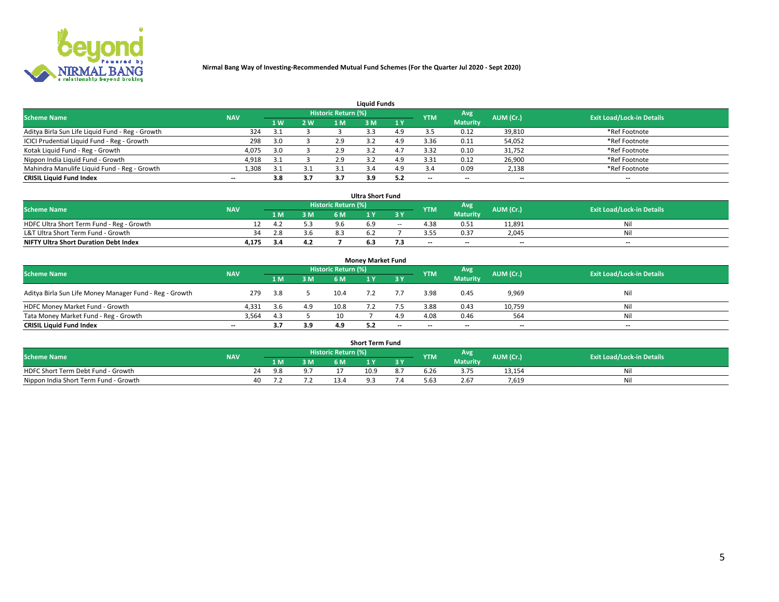

| <b>Liquid Funds</b>                              |            |                |     |                            |     |     |                          |                 |           |                                  |  |  |  |  |
|--------------------------------------------------|------------|----------------|-----|----------------------------|-----|-----|--------------------------|-----------------|-----------|----------------------------------|--|--|--|--|
| <b>Scheme Name</b>                               | <b>NAV</b> |                |     | <b>Historic Return (%)</b> |     |     | <b>YTM</b>               | Avg             | AUM (Cr.) | <b>Exit Load/Lock-in Details</b> |  |  |  |  |
|                                                  |            | 1 <sub>W</sub> | 2 W |                            | : M | 1Y  |                          | <b>Maturity</b> |           |                                  |  |  |  |  |
| Aditya Birla Sun Life Liquid Fund - Reg - Growth | 324        | 3.1            |     |                            |     | 4 9 |                          | 0.12            | 39,810    | *Ref Footnote                    |  |  |  |  |
| ICICI Prudential Liquid Fund - Reg - Growth      | 298        | 3.0            |     | 2.9                        |     | 4.9 | 3.36                     | 0.11            | 54,052    | *Ref Footnote                    |  |  |  |  |
| Kotak Liquid Fund - Reg - Growth                 | 4,075      | 3.0            |     | 2.9                        |     |     | 3.32                     | 0.10            | 31,752    | *Ref Footnote                    |  |  |  |  |
| Nippon India Liquid Fund - Growth                | 4,918      | 31             |     | 2.9                        |     | 4.9 | 3.31                     | 0.12            | 26,900    | *Ref Footnote                    |  |  |  |  |
| Mahindra Manulife Liquid Fund - Reg - Growth     | 1,308      | 31             | 3.1 |                            |     | 4.9 |                          | 0.09            | 2,138     | *Ref Footnote                    |  |  |  |  |
| <b>CRISIL Liquid Fund Index</b>                  | $- -$      | 3.8            | 3.7 |                            | 3.9 | 5.2 | $\overline{\phantom{a}}$ | --              | --        | $- -$                            |  |  |  |  |

| <b>Ultra Short Fund</b>                      |            |      |     |                            |      |        |            |                          |                          |                                  |  |  |  |  |
|----------------------------------------------|------------|------|-----|----------------------------|------|--------|------------|--------------------------|--------------------------|----------------------------------|--|--|--|--|
| <b>Scheme Name</b>                           | <b>NAV</b> |      |     | <b>Historic Return (%)</b> |      |        | <b>YTM</b> | Avg                      | AUM (Cr.)                | <b>Exit Load/Lock-in Details</b> |  |  |  |  |
|                                              |            | 1 M. | 3M  | 6 M                        |      |        |            | <b>Maturity</b>          |                          |                                  |  |  |  |  |
| HDFC Ultra Short Term Fund - Reg - Growth    |            | 4.Z  |     |                            |      | $\sim$ | 4.38       | 0.51                     | 11.891                   | Ni                               |  |  |  |  |
| L&T Ultra Short Term Fund - Growth           | 34         | 2.8  | 3.6 |                            |      |        |            | 0.37                     | 2.045                    | Ni                               |  |  |  |  |
| <b>NIFTY Ultra Short Duration Debt Index</b> | 4,175      |      | 4.2 |                            | b. 3 | . ב    | $-$        | $\overline{\phantom{a}}$ | $\overline{\phantom{a}}$ | $\overline{\phantom{a}}$         |  |  |  |  |

| <b>Monev Market Fund</b>                                |                          |     |     |                     |  |           |            |                 |           |                                  |  |  |  |  |
|---------------------------------------------------------|--------------------------|-----|-----|---------------------|--|-----------|------------|-----------------|-----------|----------------------------------|--|--|--|--|
| <b>Scheme Name</b>                                      | <b>NAV</b>               |     |     | Historic Return (%) |  |           | <b>YTM</b> | Avg.            | AUM (Cr.) | <b>Exit Load/Lock-in Details</b> |  |  |  |  |
|                                                         |                          | 1 M | 3 M | 6 M                 |  | <b>3Y</b> |            | <b>Maturity</b> |           |                                  |  |  |  |  |
| Aditya Birla Sun Life Money Manager Fund - Reg - Growth | 279                      | 3.8 |     | 10.4                |  |           | 3.98       | 0.45            | 9,969     | Nil                              |  |  |  |  |
| HDFC Money Market Fund - Growth                         | 4,331                    | 3.6 | 4.9 | 10.8                |  |           | 3.88       | 0.43            | 10,759    | Nil                              |  |  |  |  |
| Tata Money Market Fund - Reg - Growth                   | 3,564                    | 4.3 |     |                     |  | 4.9       | 4.08       | 0.46            | 564       | Nil                              |  |  |  |  |
| <b>CRISIL Liquid Fund Index</b>                         | $\overline{\phantom{a}}$ | 3.7 | 3.9 |                     |  | $-$       | $-$        | $- -$           | $- -$     | $\overline{\phantom{a}}$         |  |  |  |  |

| <b>Short Term Fund</b>                |            |  |     |     |                                  |          |    |            |                 |           |                                  |  |  |  |
|---------------------------------------|------------|--|-----|-----|----------------------------------|----------|----|------------|-----------------|-----------|----------------------------------|--|--|--|
| <b>Scheme Name</b>                    | <b>NAV</b> |  |     |     | Historic Return (%) <sup> </sup> |          |    | <b>YTM</b> | Avg             | AUM (Cr.) | <b>Exit Load/Lock-in Details</b> |  |  |  |
|                                       |            |  | 1 M | 3 M | 6 M                              | <b>A</b> | 2V |            | <b>Maturity</b> |           |                                  |  |  |  |
| HDFC Short Term Debt Fund - Growth    |            |  |     |     |                                  | 10.9     |    | b.Zb       | 3.75            | 13,154    | Nil                              |  |  |  |
| Nippon India Short Term Fund - Growth |            |  |     |     |                                  |          |    | 5.63       | 2.67            | 7.619     | Nil                              |  |  |  |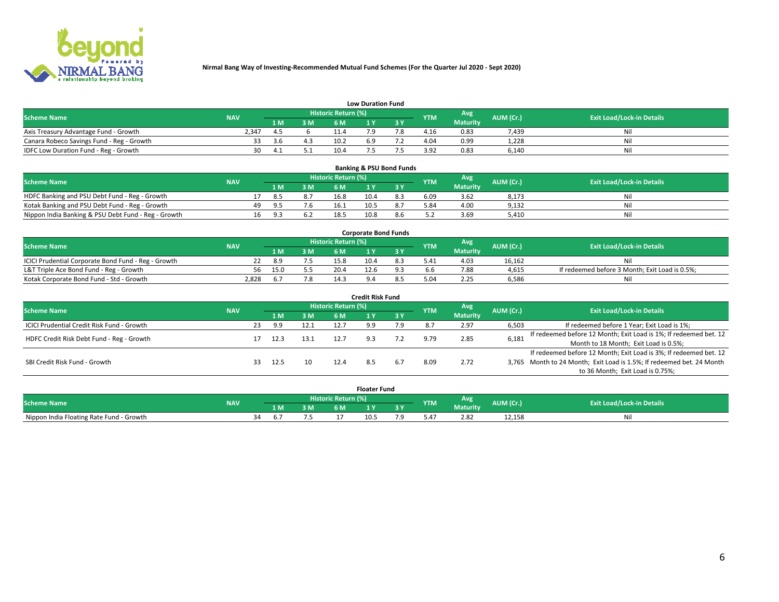

| <b>Low Duration Fund</b>                  |            |      |     |                            |     |     |            |                 |           |                                  |  |  |  |  |
|-------------------------------------------|------------|------|-----|----------------------------|-----|-----|------------|-----------------|-----------|----------------------------------|--|--|--|--|
| <b>Scheme Name</b>                        | <b>NAV</b> |      |     | <b>Historic Return (%)</b> |     |     | <b>YTM</b> | <b>Avg</b>      | AUM (Cr.) | <b>Exit Load/Lock-in Details</b> |  |  |  |  |
|                                           |            | 1 M  | 3 M |                            |     | 3 Y |            | <b>Maturity</b> |           |                                  |  |  |  |  |
| Axis Treasury Advantage Fund - Growth     | 2.347      |      |     | 11 4                       |     |     | 4.16       | 0.83            | 7,439     | Nil                              |  |  |  |  |
| Canara Robeco Savings Fund - Reg - Growth |            | -3.6 | 4.3 | 10.2                       | b.9 |     | 4.04       | 0.99            | 1,228     | Nil                              |  |  |  |  |
| IDFC Low Duration Fund - Reg - Growth     | 30         |      |     | 10.4                       |     |     | 3.92       | 0.83            | 6,140     | Nil                              |  |  |  |  |

| <b>Banking &amp; PSU Bond Funds</b>                 |            |     |      |     |                     |      |     |            |                 |           |                                  |  |  |  |
|-----------------------------------------------------|------------|-----|------|-----|---------------------|------|-----|------------|-----------------|-----------|----------------------------------|--|--|--|
| <b>Scheme Name</b>                                  | <b>NAV</b> |     |      |     | Historic Return (%) |      |     | <b>YTM</b> | Avg             | AUM (Cr.) | <b>Exit Load/Lock-in Details</b> |  |  |  |
|                                                     |            |     | 1 M. | 3 M | 6 M                 |      |     |            | <b>Maturity</b> |           |                                  |  |  |  |
| HDFC Banking and PSU Debt Fund - Reg - Growth       |            |     | 8.5  | 8.7 | 16.8                | 10.4 | 8.3 | 6.09       | 3.62            | 8,173     | Ni                               |  |  |  |
| Kotak Banking and PSU Debt Fund - Reg - Growth      |            | 49. | 9.5  | 7.6 | 16.1                | 10.5 |     | 5.84       | 4.00            | 9,132     | Ni                               |  |  |  |
| Nippon India Banking & PSU Debt Fund - Reg - Growth |            | 16  | .പ   |     | 18.5                | 10.8 |     |            | 3.69            | 5.410     | Νi                               |  |  |  |

| <b>Corporate Bond Funds</b>                         |            |      |     |                            |      |  |               |                 |           |                                                |  |  |  |  |
|-----------------------------------------------------|------------|------|-----|----------------------------|------|--|---------------|-----------------|-----------|------------------------------------------------|--|--|--|--|
| <b>Scheme Name</b>                                  | <b>NAV</b> |      |     | <b>Historic Return (%)</b> |      |  | <b>YTM</b>    | <b>Avg</b>      | AUM (Cr.) | <b>Exit Load/Lock-in Details</b>               |  |  |  |  |
|                                                     |            | 4 M. | 3 M | 6 M                        |      |  |               | <b>Maturity</b> |           |                                                |  |  |  |  |
| ICICI Prudential Corporate Bond Fund - Reg - Growth |            | 8.9  |     | 15.8                       | 10.4 |  | $5.4^{\circ}$ | 4.03            | 16.162    |                                                |  |  |  |  |
| L&T Triple Ace Bond Fund - Reg - Growth             | 56.        | 15.0 |     | 20.4                       |      |  |               | 7.88            | 4,615     | If redeemed before 3 Month; Exit Load is 0.5%; |  |  |  |  |
| Kotak Corporate Bond Fund - Std - Growth            | 2.828      |      | 7.8 |                            |      |  |               | 2.25            | 6,586     | Nil                                            |  |  |  |  |

| <b>Credit Risk Fund</b>                           |            |    |      |      |                            |     |     |            |                 |           |                                                                       |  |  |  |
|---------------------------------------------------|------------|----|------|------|----------------------------|-----|-----|------------|-----------------|-----------|-----------------------------------------------------------------------|--|--|--|
| <b>Scheme Name</b>                                | <b>NAV</b> |    |      |      | <b>Historic Return (%)</b> |     |     | <b>YTM</b> | <b>Avg</b>      | AUM (Cr.) | <b>Exit Load/Lock-in Details</b>                                      |  |  |  |
|                                                   |            |    | 1 M  | 3 M  | 6 M                        |     | 3 Y |            | <b>Maturity</b> |           |                                                                       |  |  |  |
| <b>ICICI Prudential Credit Risk Fund - Growth</b> |            | 23 | 9.9  | 12.1 | 12.7                       | 9.9 | 7.9 |            | 2.97            | 6,503     | If redeemed before 1 Year; Exit Load is 1%;                           |  |  |  |
| HDFC Credit Risk Debt Fund - Reg - Growth         |            |    | 12.3 | 13.1 | 12.7                       |     |     |            | 2.85            | 6,181     | If redeemed before 12 Month; Exit Load is 1%; If redeemed bet. 12     |  |  |  |
|                                                   |            |    |      |      |                            |     |     |            |                 |           | Month to 18 Month; Exit Load is 0.5%;                                 |  |  |  |
|                                                   |            |    |      |      |                            |     |     |            |                 |           | If redeemed before 12 Month; Exit Load is 3%; If redeemed bet. 12     |  |  |  |
| SBI Credit Risk Fund - Growth                     |            |    | 12.5 | 10   | 12.4                       | 8.5 |     | 8.09       | 2.72            |           | 3,765 Month to 24 Month; Exit Load is 1.5%; If redeemed bet. 24 Month |  |  |  |
|                                                   |            |    |      |      |                            |     |     |            |                 |           | to 36 Month; Exit Load is 0.75%;                                      |  |  |  |

| <b>Floater Fund</b>                      |            |    |     |    |                     |      |   |               |                 |           |                                  |  |
|------------------------------------------|------------|----|-----|----|---------------------|------|---|---------------|-----------------|-----------|----------------------------------|--|
| <b>Scheme Name</b>                       | <b>NAV</b> |    |     |    | Historic Return (%) |      |   | <b>YTM</b>    | Avg             | AUM (Cr.) | <b>Exit Load/Lock-in Details</b> |  |
|                                          |            |    | 1 M | ЗM | 5M                  | .    | . |               | <b>Maturity</b> |           |                                  |  |
| Nippon India Floating Rate Fund - Growth |            | ٦Δ |     |    |                     | 10.5 |   | $0.4^{\circ}$ | 2.82            | 12,158    | NL                               |  |